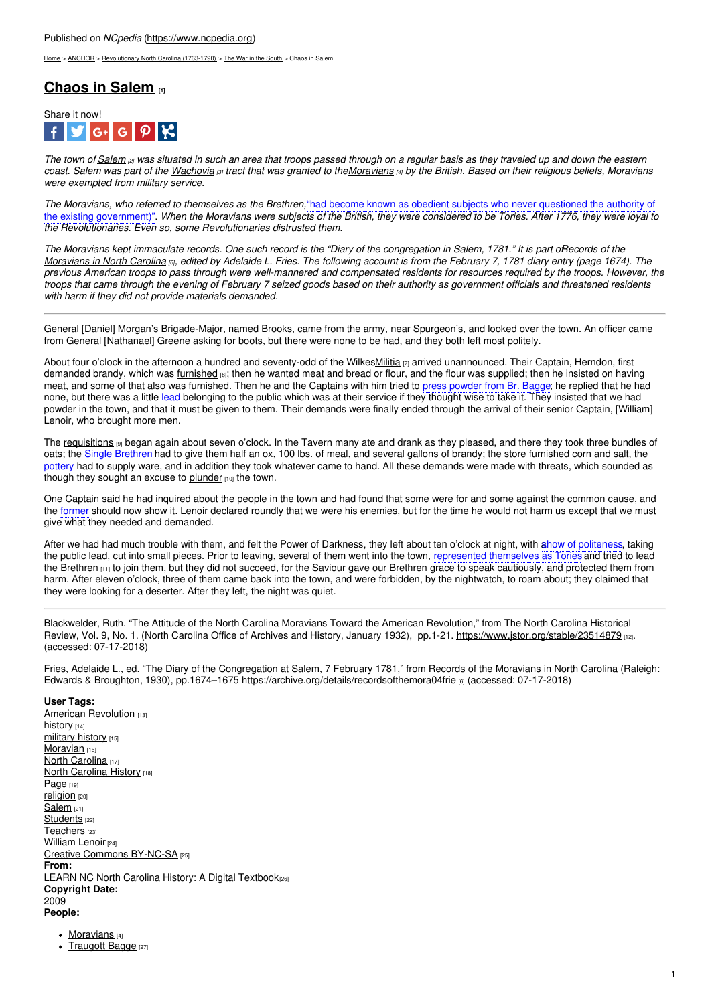[Home](https://www.ncpedia.org/) > [ANCHOR](https://www.ncpedia.org/anchor/anchor) > [Revolutionary](https://www.ncpedia.org/anchor/revolutionary-north-carolina) North Carolina (1763-1790) > The War in the [South](https://www.ncpedia.org/anchor/war-south) > Chaos in Salem

# **[Chaos](https://www.ncpedia.org/anchor/chaos-salem) in Salem [1]**



The town of [Salem](https://www.ncpedia.org/salem)  $_{[2]}$  was situated in such an area that troops passed through on a regular basis as they traveled up and down the eastern coast. Salem was part of the [Wachovia](https://www.ncpedia.org/wachovia) [3] tract that was granted to the Moravians [4] by the British. Based on their religious beliefs, Moravians *were exempted from military service.*

*The Moravians, who referred to themselves as the Brethren,*"had become known as obedient subjects who never questioned the authority of the existing government)". When the Moravians were subjects of the British, they were considered to be Tories. After 1776, they were loyal to *the Revolutionaries. Even so, some Revolutionaries distrusted them.*

The Moravians kept immaculate records. One such record is the "Diary of the [congregation](https://archive.org/details/recordsofthemora04frie) in Salem, 1781." It is part offecords of the Moravians in North Carolina <sub>[6]</sub>, edited by Adelaide L. Fries. The following account is from the February 7, 1781 diary entry (page 1674). The previous American troops to pass through were [well-man](http://www.social9.com)nered and compensated residents for resources required by the troops. However, the troops that came through the evening of February 7 seized goods based on their authority as government officials and threatened residents *with harm if they did not provide materials demanded.*

General [Daniel] Morgan's Brigade-Major, named Brooks, came from the army, near Spurgeon's, and looked over the town. An officer came from General [Nathanael] Greene asking for boots, but there were none to be had, and they both left most politely.

About four o'clock in the afternoon a hundred and seventy-odd of the Wilke[sMilitia](https://www.ncpedia.org/glossary/militia)  $\eta$  arrived unannounced. Their Captain, Herndon, first demanded brandy, which was *[furnished](https://www.ncpedia.org/glossary/furnish)* [8]; then he wanted meat and bread or flour, and the flour was supplied; then he insisted on having meat, and some of that also was furnished. Then he and the Captains with him tried to press powder from Br. Bagge; he replied that he had none, but there was a little lead belonging to the public which was at their service if they thought wise to take it. They insisted that we had powder in the town, and that it must be given to them. Their demands were finally ended through the arrival of their senior Captain, [William] Lenoir, who brought more men.

The [requisitions](https://www.ncpedia.org/glossary/requisitions) [9] began again about seven o'clock. In the Tavern many ate and drank as they pleased, and there they took three bundles of oats; the Single Brethren had to give them half an ox, 100 lbs. of meal, and several gallons of brandy; the store furnished corn and salt, the pottery had to supply ware, and in addition they took whatever came to hand. All these demands were made with threats, which sounded as though they sought an excuse to [plunder](https://www.ncpedia.org/glossary/plunder) [10] the town.

One Captain said he had inquired about the people in the town and had found that some were for and some against the common cause, and the former should now show it. Lenoir declared roundly that we were his enemies, but for the time he would not harm us except that we must give what they needed and demanded.

After we had had much trouble with them, and felt the Power of Darkness, they left about ten o'clock at night, with a how of politeness, taking the public lead, cut into small pieces. Prior to leaving, several of them went into the town, represented themselves as Tories and tried to lead the [Brethren](https://www.ncpedia.org/glossary/brethren) [11] to join them, but they did not succeed, for the Saviour gave our Brethren grace to speak cautiously, and protected them from harm. After eleven o'clock, three of them came back into the town, and were forbidden, by the nightwatch, to roam about; they claimed that they were looking for a deserter. After they left, the night was quiet.

Blackwelder, Ruth. "The Attitude of the North Carolina Moravians Toward the American Revolution," from The North Carolina Historical Review, Vol. 9, No. 1. (North Carolina Office of Archives and History, January 1932), pp.1-21. <https://www.jstor.org/stable/23514879> [12]. (accessed: 07-17-2018)

Fries, Adelaide L., ed. "The Diary of the Congregation at Salem, 7 February 1781," from Records of the Moravians in North Carolina (Raleigh: Edwards & Broughton, 1930), pp.1674-1675 <https://archive.org/details/recordsofthemora04frie> [6] (accessed: 07-17-2018)

### **User Tags:**

American [Revolution](https://www.ncpedia.org/category/user-tags/american) [13] [history](https://www.ncpedia.org/category/user-tags/history) [14] [military](https://www.ncpedia.org/category/user-tags/military-history) history [15] [Moravian](https://www.ncpedia.org/category/user-tags/moravian) [16] North [Carolina](https://www.ncpedia.org/category/user-tags/north-carolina-5) [17] North [Carolina](https://www.ncpedia.org/category/user-tags/north-carolina-6) History [18] [Page](https://www.ncpedia.org/category/user-tags/page) [19] [religion](https://www.ncpedia.org/category/user-tags/religion) [20] [Salem](https://www.ncpedia.org/category/user-tags/salem) [21] [Students](https://www.ncpedia.org/category/user-tags/students) [22] [Teachers](https://www.ncpedia.org/category/user-tags/teachers) [23] [William](https://www.ncpedia.org/category/user-tags/william-lenoir) Lenoir [24] Creative Commons [BY-NC-SA](https://www.ncpedia.org/category/user-tags/creative-commons) [25] **From:** LEARN NC North Carolina History: A Digital [Textbook](https://www.ncpedia.org/category/entry-source/learn-nc)(26) **Copyright Date:** 2009 **People:**

- [Moravians](https://www.ncpedia.org/moravians) [4]
- [Traugott](https://www.ncpedia.org/biography/bagge-traugott) Bagge [27]